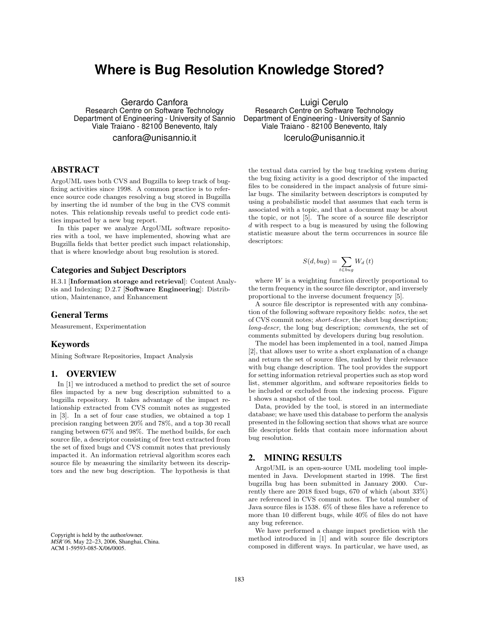# **Where is Bug Resolution Knowledge Stored?**

Gerardo Canfora Research Centre on Software Technology Department of Engineering - University of Sannio Viale Traiano - 82100 Benevento, Italy canfora@unisannio.it

## ABSTRACT

ArgoUML uses both CVS and Bugzilla to keep track of bugfixing activities since 1998. A common practice is to reference source code changes resolving a bug stored in Bugzilla by inserting the id number of the bug in the CVS commit notes. This relationship reveals useful to predict code entities impacted by a new bug report.

In this paper we analyze ArgoUML software repositories with a tool, we have implemented, showing what are Bugzilla fields that better predict such impact relationship, that is where knowledge about bug resolution is stored.

# Categories and Subject Descriptors

H.3.1 [Information storage and retrieval]: Content Analysis and Indexing; D.2.7 [Software Engineering]: Distribution, Maintenance, and Enhancement

#### General Terms

Measurement, Experimentation

#### Keywords

Mining Software Repositories, Impact Analysis

# 1. OVERVIEW

In [1] we introduced a method to predict the set of source files impacted by a new bug description submitted to a bugzilla repository. It takes advantage of the impact relationship extracted from CVS commit notes as suggested in [3]. In a set of four case studies, we obtained a top 1 precision ranging between 20% and 78%, and a top 30 recall ranging between 67% and 98%. The method builds, for each source file, a descriptor consisting of free text extracted from the set of fixed bugs and CVS commit notes that previously impacted it. An information retrieval algorithm scores each source file by measuring the similarity between its descriptors and the new bug description. The hypothesis is that

Copyright is held by the author/owner. *MSR'06,* May 22–23, 2006, Shanghai, China. ACM 1-59593-085-X/06/0005.

Luigi Cerulo Research Centre on Software Technology Department of Engineering - University of Sannio Viale Traiano - 82100 Benevento, Italy lcerulo@unisannio.it

the textual data carried by the bug tracking system during the bug fixing activity is a good descriptor of the impacted files to be considered in the impact analysis of future similar bugs. The similarity between descriptors is computed by using a probabilistic model that assumes that each term is associated with a topic, and that a document may be about the topic, or not [5]. The score of a source file descriptor *d* with respect to a bug is measured by using the following statistic measure about the term occurrences in source file descriptors:

$$
S(d, bug) = \sum_{t \in bug} W_d(t)
$$

where *W* is a weighting function directly proportional to the term frequency in the source file descriptor, and inversely proportional to the inverse document frequency [5].

A source file descriptor is represented with any combination of the following software repository fields: *notes*, the set of CVS commit notes; *short-descr*, the short bug description; *long-descr*, the long bug description; *comments*, the set of comments submitted by developers during bug resolution.

The model has been implemented in a tool, named Jimpa [2], that allows user to write a short explanation of a change and return the set of source files, ranked by their relevance with bug change description. The tool provides the support for setting information retrieval properties such as stop word list, stemmer algorithm, and software repositories fields to be included or excluded from the indexing process. Figure 1 shows a snapshot of the tool.

Data, provided by the tool, is stored in an intermediate database; we have used this database to perform the analysis presented in the following section that shows what are source file descriptor fields that contain more information about bug resolution.

## 2. MINING RESULTS

ArgoUML is an open-source UML modeling tool implemented in Java. Development started in 1998. The first bugzilla bug has been submitted in January 2000. Currently there are 2018 fixed bugs, 670 of which (about 33%) are referenced in CVS commit notes. The total number of Java source files is 1538. 6% of these files have a reference to more than 10 different bugs, while 40% of files do not have any bug reference.

We have performed a change impact prediction with the method introduced in [1] and with source file descriptors composed in different ways. In particular, we have used, as